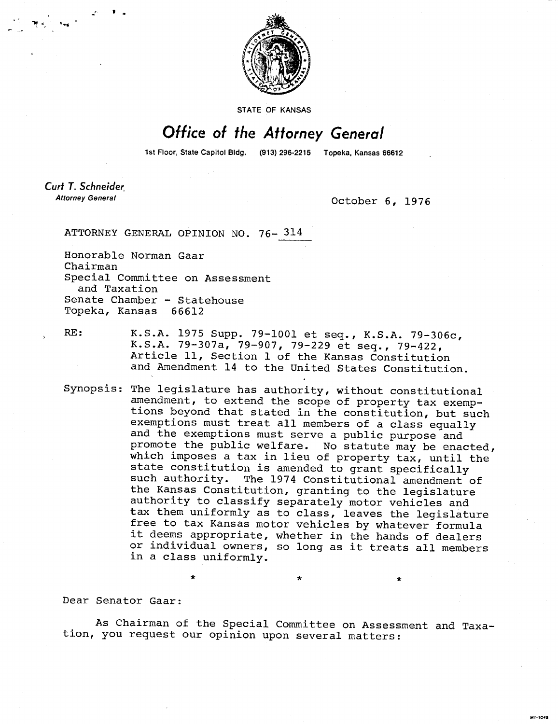

STATE OF KANSAS

## Office of the Attorney General

1st Floor, State Capitol Bldg. (913) 296-2215 Topeka, Kansas 66612

Curt T. Schneider **Attorney General** 

October 6, 1976

 $\ddot{\textbf{r}}$ 

MI-1043

ATTORNEY GENERAL OPINION NO. 76- 314

Honorable Norman Gaar Chairman Special Committee on Assessment and Taxation Senate Chamber - Statehouse Topeka, Kansas 66612

RE: K.S.A. 1975 Supp. 79-1001 et seq., K.S.A. 79-306c, K.S.A. 79-307a, 79-907, 79-229 et seq., 79-422, Article 11, Section 1 of the Kansas Constitution and Amendment 14 to the United States Constitution.

Synopsis: The legislature has authority, without constitutional amendment, to extend the scope of property tax exemptions beyond that stated in the constitution, but such exemptions must treat all members of a class equally and the exemptions must serve a public purpose and promote the public welfare. No statute may be enacted, which imposes a tax in lieu of property tax, until the state constitution is amended to grant specifically such authority. The 1974 Constitutional amendment of the Kansas Constitution, granting to the legislature authority to classify separately motor vehicles and tax them uniformly as to class, leaves the legislature free to tax Kansas motor vehicles by whatever formula it deems appropriate, whether in the hands of dealers or individual owners, so long as it treats all members in a class uniformly.

Dear Senator Gaar:

As Chairman of the Special Committee on Assessment and Taxation, you request our opinion upon several matters: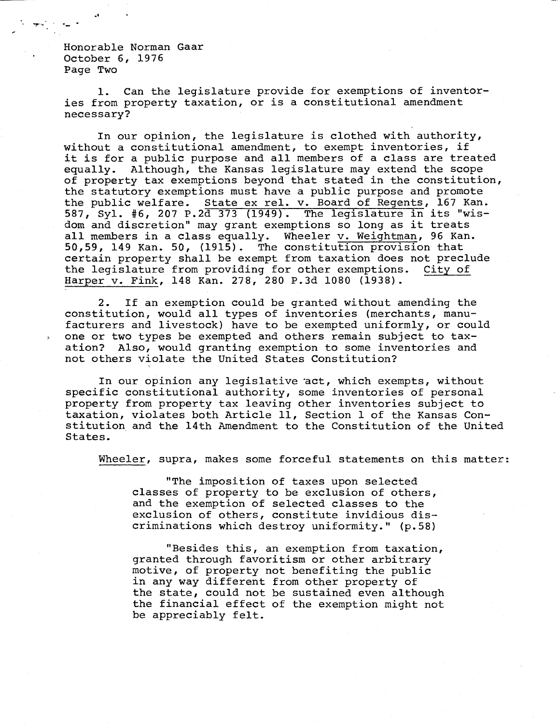Honorable Norman Gaar October 6, 1976 Page Two

1. Can the legislature provide for exemptions of inventories from property taxation, or is a constitutional amendment necessary?

In our opinion, the legislature is clothed with authority, without a constitutional amendment, to exempt inventories, if it is for a public purpose and all members of a class are treated equally. Although, the Kansas legislature may extend the scope of property tax exemptions beyond that stated in the constitution, the statutory exemptions must have a public purpose and promote the public welfare. State ex rel. v. Board of Regents, 167 Kan. 587, Syl. #6, 207 P.2d 373 (1949). The legislature in its "wisdom and discretion" may grant exemptions so long as it treats all members in a class equally. Wheeler v. Weightman, 96 Kan. 50,59, 149 Kan. 50, (1915). The constitution provision that certain property shall be exempt from taxation does not preclude the legislature from providing for other exemptions. City of Harper v. Fink, 148 Kan. 278, 280 P.3d 1080 (1938).

2. If an exemption could be granted without amending the constitution, would all types of inventories (merchants, manufacturers and livestock) have to be exempted uniformly, or could one or two types be exempted and others remain subject to taxation? Also, would granting exemption to some inventories and not others violate the United States Constitution?

In our opinion any legislative 'act, which exempts, without specific constitutional authority, some inventories of personal property from property tax leaving other inventories subject to taxation, violates both Article 11, Section 1 of the Kansas Constitution and the 14th Amendment to the Constitution of the United States.

Wheeler, supra, makes some forceful statements on this matter:

"The imposition of taxes upon selected classes of property to be exclusion of others, and the exemption of selected classes to the exclusion of others, constitute invidious discriminations which destroy uniformity." (p.58)

"Besides this, an exemption from taxation, granted through favoritism or other arbitrary motive, of property not benefiting the public in any way different from other property of the state, could not be sustained even although the financial effect of the exemption might not be appreciably felt.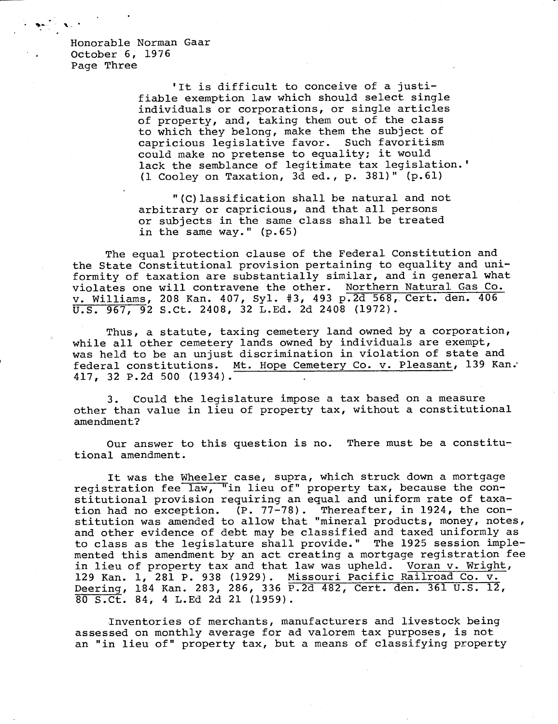Honorable Norman Gaar October 6, 1976 Page Three

> 'It is difficult to conceive of a justifiable exemption law which should select single individuals or corporations, or single articles of property, and, taking them out of the class to which they belong, make them the subject of capricious legislative favor. Such favoritism could make no pretense to equality; it would lack the semblance of legitimate tax legislation.' (1 Cooley on Taxation, 3d ed., p. 381)" (p.61)

"(C)lassification shall be natural and not arbitrary or capricious, and that all persons or subjects in the same class shall be treated in the same way." (p.65)

The equal protection clause of the Federal Constitution and the State Constitutional provision pertaining to equality and uniformity of taxation are substantially similar, and in general what violates one will contravene the other. Northern Natural Gas Co. v. Williams, 208 Kan. 407, Syl. #3, 493 p.2d 568, Cert. den. 406 U.S. 967, 92 S.Ct. 2408, 32 L.Ed. 2d 2408 (1972).

Thus, a statute, taxing cemetery land owned by a corporation, while all other cemetery lands owned by individuals are exempt, was held to be an unjust discrimination in violation of state and federal constitutions. Mt. Hope Cemetery Co. v. Pleasant, 139 Kan: 417, 32 P.2d 500 (1934).

3. Could the legislature impose a tax based on a measure other than value in lieu of property tax, without a constitutional amendment?

Our answer to this question is no. There must be a constitutional amendment.

It was the Wheeler case, supra, which struck down a mortgage registration fee law, "in lieu of" property tax, because the constitutional provision requiring an equal and uniform rate of taxation had no exception. (P. 77-78). Thereafter, in 1924, the constitution was amended to allow that "mineral products, money, notes, and other evidence of debt may be classified and taxed uniformly as to class as the legislature shall provide." The 1925 session implemented this amendment by an act creating a mortgage registration fee in lieu of property tax and that law was upheld. Voran v. Wright, 129 Kan. 1, 281 P. 938 (1929). Missouri Pacific Railroad Co. v. Deering, 184 Kan. 283, 286, 336 P.2d 482, Cert. den. 361 U.S. 12, 80 S.Ct. 84, 4 L.Ed 2d 21 (1959).

Inventories of merchants, manufacturers and livestock being assessed on monthly average for ad valorem tax purposes, is not an "in lieu of" property tax, but a means of classifying property